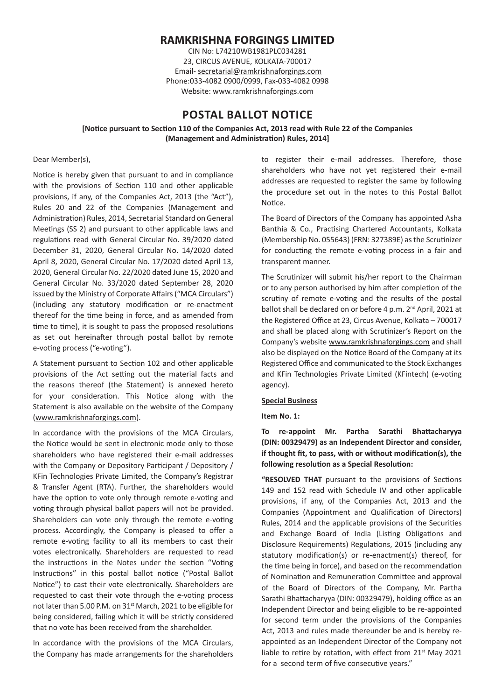# **RAMKRISHNA FORGINGS LIMITED**

CIN No: L74210WB1981PLC034281 23, CIRCUS AVENUE, KOLKATA-700017 Email- secretarial@ramkrishnaforgings.com Phone:033-4082 0900/0999, Fax-033-4082 0998 Website: www.ramkrishnaforgings.com

# **POSTAL BALLOT NOTICE**

**[Notice pursuant to Section 110 of the Companies Act, 2013 read with Rule 22 of the Companies (Management and Administration) Rules, 2014]**

Dear Member(s),

Notice is hereby given that pursuant to and in compliance with the provisions of Section 110 and other applicable provisions, if any, of the Companies Act, 2013 (the "Act"), Rules 20 and 22 of the Companies (Management and Administration) Rules, 2014, Secretarial Standard on General Meetings (SS 2) and pursuant to other applicable laws and regulations read with General Circular No. 39/2020 dated December 31, 2020, General Circular No. 14/2020 dated April 8, 2020, General Circular No. 17/2020 dated April 13, 2020, General Circular No. 22/2020 dated June 15, 2020 and General Circular No. 33/2020 dated September 28, 2020 issued by the Ministry of Corporate Affairs ("MCA Circulars") (including any statutory modification or re-enactment thereof for the time being in force, and as amended from time to time), it is sought to pass the proposed resolutions as set out hereinafter through postal ballot by remote e-voting process ("e-voting").

A Statement pursuant to Section 102 and other applicable provisions of the Act setting out the material facts and the reasons thereof (the Statement) is annexed hereto for your consideration. This Notice along with the Statement is also available on the website of the Company (www.ramkrishnaforgings.com).

In accordance with the provisions of the MCA Circulars, the Notice would be sent in electronic mode only to those shareholders who have registered their e-mail addresses with the Company or Depository Participant / Depository / KFin Technologies Private Limited, the Company's Registrar & Transfer Agent (RTA). Further, the shareholders would have the option to vote only through remote e-voting and voting through physical ballot papers will not be provided. Shareholders can vote only through the remote e-voting process. Accordingly, the Company is pleased to offer a remote e-voting facility to all its members to cast their votes electronically. Shareholders are requested to read the instructions in the Notes under the section "Voting Instructions" in this postal ballot notice ("Postal Ballot Notice") to cast their vote electronically. Shareholders are requested to cast their vote through the e-voting process not later than 5.00 P.M. on 31<sup>st</sup> March, 2021 to be eligible for being considered, failing which it will be strictly considered that no vote has been received from the shareholder.

In accordance with the provisions of the MCA Circulars, the Company has made arrangements for the shareholders to register their e-mail addresses. Therefore, those shareholders who have not yet registered their e-mail addresses are requested to register the same by following the procedure set out in the notes to this Postal Ballot Notice.

The Board of Directors of the Company has appointed Asha Banthia & Co., Practising Chartered Accountants, Kolkata (Membership No. 055643) (FRN: 327389E) as the Scrutinizer for conducting the remote e-voting process in a fair and transparent manner.

The Scrutinizer will submit his/her report to the Chairman or to any person authorised by him after completion of the scrutiny of remote e-voting and the results of the postal ballot shall be declared on or before 4 p.m. 2<sup>nd</sup> April, 2021 at the Registered Office at 23, Circus Avenue, Kolkata – 700017 and shall be placed along with Scrutinizer's Report on the Company's website www.ramkrishnaforgings.com and shall also be displayed on the Notice Board of the Company at its Registered Office and communicated to the Stock Exchanges and KFin Technologies Private Limited (KFintech) (e-voting agency).

#### **Special Business**

**Item No. 1:** 

**To re-appoint Mr. Partha Sarathi Bhattacharyya (DIN: 00329479) as an Independent Director and consider, if thought fit, to pass, with or without modification(s), the following resolution as a Special Resolution:**

**"RESOLVED THAT** pursuant to the provisions of Sections 149 and 152 read with Schedule IV and other applicable provisions, if any, of the Companies Act, 2013 and the Companies (Appointment and Qualification of Directors) Rules, 2014 and the applicable provisions of the Securities and Exchange Board of India (Listing Obligations and Disclosure Requirements) Regulations, 2015 (including any statutory modification(s) or re-enactment(s) thereof, for the time being in force), and based on the recommendation of Nomination and Remuneration Committee and approval of the Board of Directors of the Company, Mr. Partha Sarathi Bhattacharyya (DIN: 00329479), holding office as an Independent Director and being eligible to be re-appointed for second term under the provisions of the Companies Act, 2013 and rules made thereunder be and is hereby reappointed as an Independent Director of the Company not liable to retire by rotation, with effect from  $21<sup>st</sup>$  May 2021 for a second term of five consecutive years."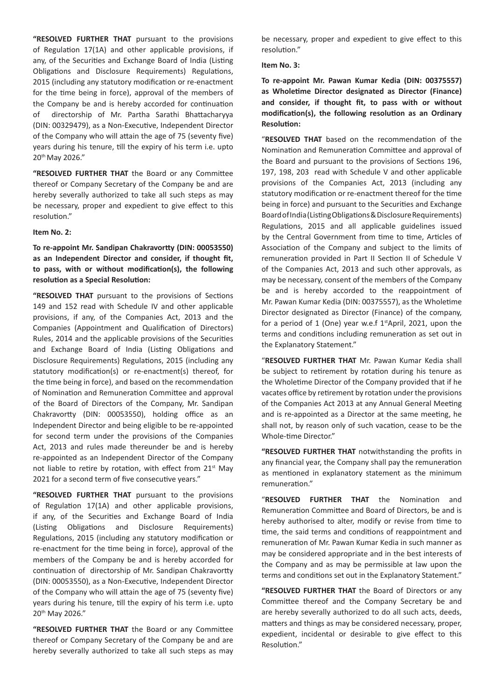**"RESOLVED FURTHER THAT** pursuant to the provisions of Regulation 17(1A) and other applicable provisions, if any, of the Securities and Exchange Board of India (Listing Obligations and Disclosure Requirements) Regulations, 2015 (including any statutory modification or re-enactment for the time being in force), approval of the members of the Company be and is hereby accorded for continuation of directorship of Mr. Partha Sarathi Bhattacharyya (DIN: 00329479), as a Non-Executive, Independent Director of the Company who will attain the age of 75 (seventy five) years during his tenure, till the expiry of his term i.e. upto 20th May 2026."

**"RESOLVED FURTHER THAT** the Board or any Committee thereof or Company Secretary of the Company be and are hereby severally authorized to take all such steps as may be necessary, proper and expedient to give effect to this resolution."

#### **Item No. 2:**

**To re-appoint Mr. Sandipan Chakravortty (DIN: 00053550) as an Independent Director and consider, if thought fit, to pass, with or without modification(s), the following resolution as a Special Resolution:**

**"RESOLVED THAT** pursuant to the provisions of Sections 149 and 152 read with Schedule IV and other applicable provisions, if any, of the Companies Act, 2013 and the Companies (Appointment and Qualification of Directors) Rules, 2014 and the applicable provisions of the Securities and Exchange Board of India (Listing Obligations and Disclosure Requirements) Regulations, 2015 (including any statutory modification(s) or re-enactment(s) thereof, for the time being in force), and based on the recommendation of Nomination and Remuneration Committee and approval of the Board of Directors of the Company, Mr. Sandipan Chakravortty (DIN: 00053550), holding office as an Independent Director and being eligible to be re-appointed for second term under the provisions of the Companies Act, 2013 and rules made thereunder be and is hereby re-appointed as an Independent Director of the Company not liable to retire by rotation, with effect from 21<sup>st</sup> May 2021 for a second term of five consecutive years."

**"RESOLVED FURTHER THAT** pursuant to the provisions of Regulation 17(1A) and other applicable provisions, if any, of the Securities and Exchange Board of India (Listing Obligations and Disclosure Requirements) Regulations, 2015 (including any statutory modification or re-enactment for the time being in force), approval of the members of the Company be and is hereby accorded for continuation of directorship of Mr. Sandipan Chakravortty (DIN: 00053550), as a Non-Executive, Independent Director of the Company who will attain the age of 75 (seventy five) years during his tenure, till the expiry of his term i.e. upto 20th May 2026."

**"RESOLVED FURTHER THAT** the Board or any Committee thereof or Company Secretary of the Company be and are hereby severally authorized to take all such steps as may be necessary, proper and expedient to give effect to this resolution."

**Item No. 3:**

**To re-appoint Mr. Pawan Kumar Kedia (DIN: 00375557) as Wholetime Director designated as Director (Finance) and consider, if thought fit, to pass with or without modification(s), the following resolution as an Ordinary Resolution:**

"**RESOLVED THAT** based on the recommendation of the Nomination and Remuneration Committee and approval of the Board and pursuant to the provisions of Sections 196, 197, 198, 203 read with Schedule V and other applicable provisions of the Companies Act, 2013 (including any statutory modification or re-enactment thereof for the time being in force) and pursuant to the Securities and Exchange Board of India (Listing Obligations & Disclosure Requirements) Regulations, 2015 and all applicable guidelines issued by the Central Government from time to time, Articles of Association of the Company and subject to the limits of remuneration provided in Part II Section II of Schedule V of the Companies Act, 2013 and such other approvals, as may be necessary, consent of the members of the Company be and is hereby accorded to the reappointment of Mr. Pawan Kumar Kedia (DIN: 00375557), as the Wholetime Director designated as Director (Finance) of the company, for a period of 1 (One) year w.e.f  $1<sup>st</sup>$ April, 2021, upon the terms and conditions including remuneration as set out in the Explanatory Statement."

"**RESOLVED FURTHER THAT** Mr. Pawan Kumar Kedia shall be subject to retirement by rotation during his tenure as the Wholetime Director of the Company provided that if he vacates office by retirement by rotation under the provisions of the Companies Act 2013 at any Annual General Meeting and is re-appointed as a Director at the same meeting, he shall not, by reason only of such vacation, cease to be the Whole-time Director."

**"RESOLVED FURTHER THAT** notwithstanding the profits in any financial year, the Company shall pay the remuneration as mentioned in explanatory statement as the minimum remuneration."

"**RESOLVED FURTHER THAT** the Nomination and Remuneration Committee and Board of Directors, be and is hereby authorised to alter, modify or revise from time to time, the said terms and conditions of reappointment and remuneration of Mr. Pawan Kumar Kedia in such manner as may be considered appropriate and in the best interests of the Company and as may be permissible at law upon the terms and conditions set out in the Explanatory Statement."

**"RESOLVED FURTHER THAT** the Board of Directors or any Committee thereof and the Company Secretary be and are hereby severally authorized to do all such acts, deeds, matters and things as may be considered necessary, proper, expedient, incidental or desirable to give effect to this Resolution."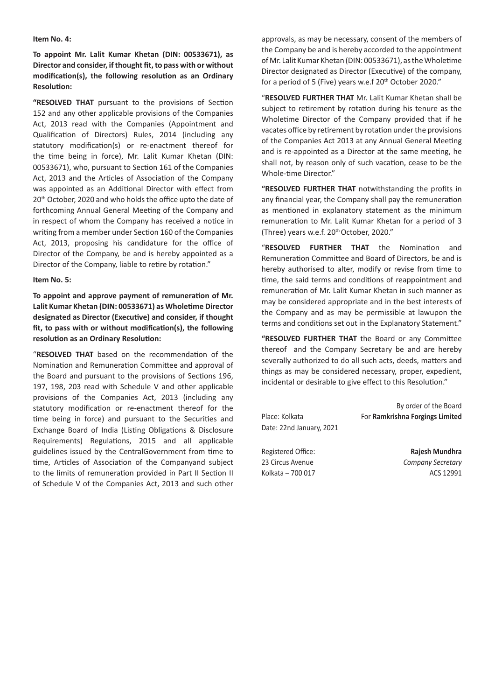#### **Item No. 4:**

**To appoint Mr. Lalit Kumar Khetan (DIN: 00533671), as Director and consider, ifthought fit, to pass with or without modification(s), the following resolution as an Ordinary Resolution:**

**"RESOLVED THAT** pursuant to the provisions of Section 152 and any other applicable provisions of the Companies Act, 2013 read with the Companies (Appointment and Qualification of Directors) Rules, 2014 (including any statutory modification(s) or re-enactment thereof for the time being in force), Mr. Lalit Kumar Khetan (DIN: 00533671), who, pursuant to Section 161 of the Companies Act, 2013 and the Articles of Association of the Company was appointed as an Additional Director with effect from 20<sup>th</sup> October, 2020 and who holds the office upto the date of forthcoming Annual General Meeting of the Company and in respect of whom the Company has received a notice in writing from a member under Section 160 of the Companies Act, 2013, proposing his candidature for the office of Director of the Company, be and is hereby appointed as a Director of the Company, liable to retire by rotation."

#### **Item No. 5:**

**To appoint and approve payment of remuneration of Mr. Lalit Kumar Khetan (DIN: 00533671) as Wholetime Director designated as Director (Executive) and consider, if thought fit, to pass with or without modification(s), the following resolution as an Ordinary Resolution:**

"**RESOLVED THAT** based on the recommendation of the Nomination and Remuneration Committee and approval of the Board and pursuant to the provisions of Sections 196, 197, 198, 203 read with Schedule V and other applicable provisions of the Companies Act, 2013 (including any statutory modification or re-enactment thereof for the time being in force) and pursuant to the Securities and Exchange Board of India (Listing Obligations & Disclosure Requirements) Regulations, 2015 and all applicable guidelines issued by the CentralGovernment from time to time, Articles of Association of the Companyand subject to the limits of remuneration provided in Part II Section II of Schedule V of the Companies Act, 2013 and such other

approvals, as may be necessary, consent of the members of the Company be and is hereby accorded to the appointment ofMr. Lalit Kumar Khetan (DIN: 00533671), astheWholetime Director designated as Director (Executive) of the company, for a period of 5 (Five) years w.e.f 20<sup>th</sup> October 2020."

"**RESOLVED FURTHER THAT** Mr. Lalit Kumar Khetan shall be subject to retirement by rotation during his tenure as the Wholetime Director of the Company provided that if he vacates office by retirement by rotation under the provisions of the Companies Act 2013 at any Annual General Meeting and is re-appointed as a Director at the same meeting, he shall not, by reason only of such vacation, cease to be the Whole-time Director."

**"RESOLVED FURTHER THAT** notwithstanding the profits in any financial year, the Company shall pay the remuneration as mentioned in explanatory statement as the minimum remuneration to Mr. Lalit Kumar Khetan for a period of 3 (Three) years w.e.f. 20<sup>th</sup> October, 2020."

"**RESOLVED FURTHER THAT** the Nomination and Remuneration Committee and Board of Directors, be and is hereby authorised to alter, modify or revise from time to time, the said terms and conditions of reappointment and remuneration of Mr. Lalit Kumar Khetan in such manner as may be considered appropriate and in the best interests of the Company and as may be permissible at lawupon the terms and conditions set out in the Explanatory Statement."

**"RESOLVED FURTHER THAT** the Board or any Committee thereof and the Company Secretary be and are hereby severally authorized to do all such acts, deeds, matters and things as may be considered necessary, proper, expedient, incidental or desirable to give effect to this Resolution."

| Place: Kolkata           | By order of the Board           |
|--------------------------|---------------------------------|
| Date: 22nd January, 2021 | For Ramkrishna Forgings Limited |
| Registered Office:       | Rajesh Mundhra                  |
| 23 Circus Avenue         | Company Secretary               |
| Kolkata - 700 017        | ACS 12991                       |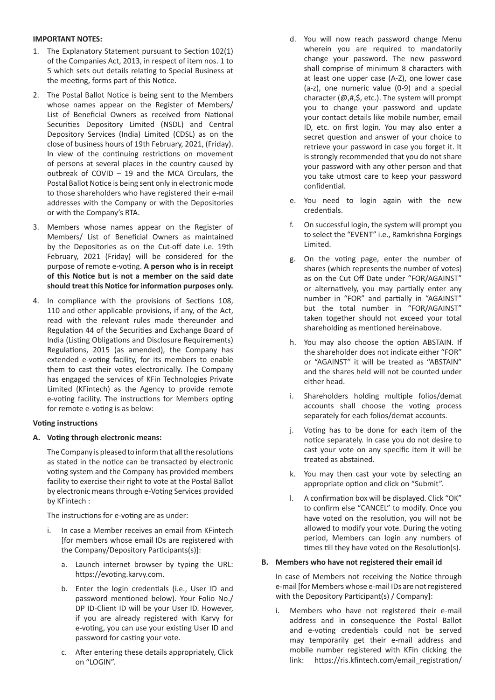### **IMPORTANT NOTES:**

- 1. The Explanatory Statement pursuant to Section 102(1) of the Companies Act, 2013, in respect of item nos. 1 to 5 which sets out details relating to Special Business at the meeting, forms part of this Notice.
- 2. The Postal Ballot Notice is being sent to the Members whose names appear on the Register of Members/ List of Beneficial Owners as received from National Securities Depository Limited (NSDL) and Central Depository Services (India) Limited (CDSL) as on the close of business hours of 19th February, 2021, (Friday). In view of the continuing restrictions on movement of persons at several places in the country caused by outbreak of COVID – 19 and the MCA Circulars, the Postal Ballot Notice is being sent only in electronic mode to those shareholders who have registered their e-mail addresses with the Company or with the Depositories or with the Company's RTA.
- 3. Members whose names appear on the Register of Members/ List of Beneficial Owners as maintained by the Depositories as on the Cut-off date i.e. 19th February, 2021 (Friday) will be considered for the purpose of remote e-voting. **A person who is in receipt of this Notice but is not a member on the said date should treat this Notice for information purposes only.**
- 4. In compliance with the provisions of Sections 108, 110 and other applicable provisions, if any, of the Act. read with the relevant rules made thereunder and Regulation 44 of the Securities and Exchange Board of India (Listing Obligations and Disclosure Requirements) Regulations, 2015 (as amended), the Company has extended e-voting facility, for its members to enable them to cast their votes electronically. The Company has engaged the services of KFin Technologies Private Limited (KFintech) as the Agency to provide remote e-voting facility. The instructions for Members opting for remote e-voting is as below:

### **Voting instructions**

#### **A. Voting through electronic means:**

The Company is pleased to inform that all the resolutions as stated in the notice can be transacted by electronic voting system and the Company has provided members facility to exercise their right to vote at the Postal Ballot by electronic means through e-Voting Services provided by KFintech :

The instructions for e-voting are as under:

- i. In case a Member receives an email from KFintech [for members whose email IDs are registered with the Company/Depository Participants(s)]:
	- a. Launch internet browser by typing the URL: https://evoting.karvy.com.
	- b. Enter the login credentials (i.e., User ID and password mentioned below). Your Folio No./ DP ID-Client ID will be your User ID. However, if you are already registered with Karvy for e-voting, you can use your existing User ID and password for casting your vote.
	- c. After entering these details appropriately, Click on "LOGIN".
- d. You will now reach password change Menu wherein you are required to mandatorily change your password. The new password shall comprise of minimum 8 characters with at least one upper case (A-Z), one lower case (a-z), one numeric value (0-9) and a special character ( $\omega$ ,#,\$, etc.). The system will prompt you to change your password and update your contact details like mobile number, email ID, etc. on first login. You may also enter a secret question and answer of your choice to retrieve your password in case you forget it. It is strongly recommended that you do not share your password with any other person and that you take utmost care to keep your password confidential.
- e. You need to login again with the new credentials.
- f. On successful login, the system will prompt you to select the "EVENT" i.e., Ramkrishna Forgings Limited.
- g. On the voting page, enter the number of shares (which represents the number of votes) as on the Cut Off Date under "FOR/AGAINST" or alternatively, you may partially enter any number in "FOR" and partially in "AGAINST" but the total number in "FOR/AGAINST" taken together should not exceed your total shareholding as mentioned hereinabove.
- h. You may also choose the option ABSTAIN. If the shareholder does not indicate either "FOR" or "AGAINST" it will be treated as "ABSTAIN" and the shares held will not be counted under either head.
- Shareholders holding multiple folios/demat accounts shall choose the voting process separately for each folios/demat accounts.
- j. Voting has to be done for each item of the notice separately. In case you do not desire to cast your vote on any specific item it will be treated as abstained.
- k. You may then cast your vote by selecting an appropriate option and click on "Submit".
- l. A confirmation box will be displayed. Click "OK" to confirm else "CANCEL" to modify. Once you have voted on the resolution, you will not be allowed to modify your vote. During the voting period, Members can login any numbers of times till they have voted on the Resolution(s).

#### **B. Members who have not registered their email id**

In case of Members not receiving the Notice through e-mail [for Members whose e-mail IDs are not registered with the Depository Participant(s) / Company]:

i. Members who have not registered their e-mail address and in consequence the Postal Ballot and e-voting credentials could not be served may temporarily get their e-mail address and mobile number registered with KFin clicking the link: https://ris.kfintech.com/email\_registration/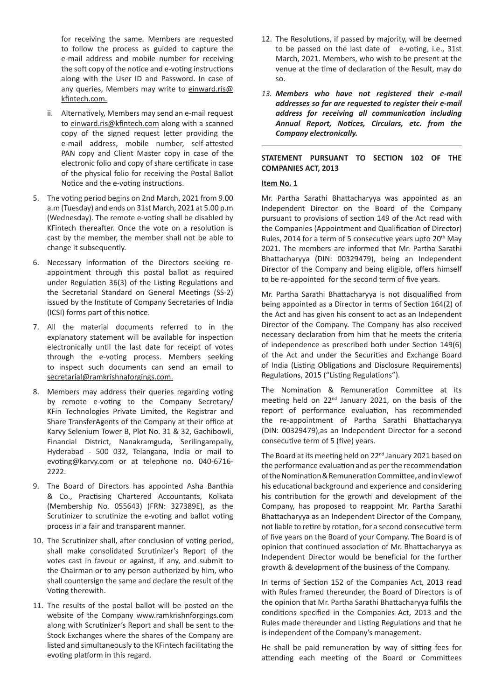for receiving the same. Members are requested to follow the process as guided to capture the e-mail address and mobile number for receiving the soft copy of the notice and e-voting instructions along with the User ID and Password. In case of any queries, Members may write to einward.ris@ kfintech.com.

- ii. Alternatively, Members may send an e-mail request to einward.ris@kfintech.com along with a scanned copy of the signed request letter providing the e-mail address, mobile number, self-attested PAN copy and Client Master copy in case of the electronic folio and copy of share certificate in case of the physical folio for receiving the Postal Ballot Notice and the e-voting instructions.
- 5. The voting period begins on 2nd March, 2021 from 9.00 a.m (Tuesday) and ends on 31st March, 2021 at 5.00 p.m (Wednesday). The remote e-voting shall be disabled by KFintech thereafter. Once the vote on a resolution is cast by the member, the member shall not be able to change it subsequently.
- 6. Necessary information of the Directors seeking reappointment through this postal ballot as required under Regulation 36(3) of the Listing Regulations and the Secretarial Standard on General Meetings (SS-2) issued by the Institute of Company Secretaries of India (ICSI) forms part of this notice.
- 7. All the material documents referred to in the explanatory statement will be available for inspection electronically until the last date for receipt of votes through the e-voting process. Members seeking to inspect such documents can send an email to secretarial@ramkrishnaforgings.com.
- 8. Members may address their queries regarding voting by remote e-voting to the Company Secretary/ KFin Technologies Private Limited, the Registrar and Share TransferAgents of the Company at their office at Karvy Selenium Tower B, Plot No. 31 & 32, Gachibowli, Financial District, Nanakramguda, Serilingampally, Hyderabad - 500 032, Telangana, India or mail to evoting@karvy.com or at telephone no. 040-6716- 2222.
- 9. The Board of Directors has appointed Asha Banthia & Co., Practising Chartered Accountants, Kolkata (Membership No. 055643) (FRN: 327389E), as the Scrutinizer to scrutinize the e-voting and ballot voting process in a fair and transparent manner.
- 10. The Scrutinizer shall, after conclusion of voting period, shall make consolidated Scrutinizer's Report of the votes cast in favour or against, if any, and submit to the Chairman or to any person authorized by him, who shall countersign the same and declare the result of the Voting therewith.
- 11. The results of the postal ballot will be posted on the website of the Company www.ramkrishnforgings.com along with Scrutinizer's Report and shall be sent to the Stock Exchanges where the shares of the Company are listed and simultaneously to the KFintech facilitating the evoting platform in this regard.
- 12. The Resolutions, if passed by majority, will be deemed to be passed on the last date of e-voting, i.e., 31st March, 2021. Members, who wish to be present at the venue at the time of declaration of the Result, may do so.
- *13. Members who have not registered their e-mail addresses so far are requested to register their e-mail address for receiving all communication including Annual Report, Notices, Circulars, etc. from the Company electronically.*

# **STATEMENT PURSUANT TO SECTION 102 OF THE COMPANIES ACT, 2013**

#### **Item No. 1**

Mr. Partha Sarathi Bhattacharyya was appointed as an Independent Director on the Board of the Company pursuant to provisions of section 149 of the Act read with the Companies (Appointment and Qualification of Director) Rules, 2014 for a term of 5 consecutive years upto 20<sup>th</sup> May 2021. The members are informed that Mr. Partha Sarathi Bhattacharyya (DIN: 00329479), being an Independent Director of the Company and being eligible, offers himself to be re-appointed for the second term of five years.

Mr. Partha Sarathi Bhattacharyya is not disqualified from being appointed as a Director in terms of Section 164(2) of the Act and has given his consent to act as an Independent Director of the Company. The Company has also received necessary declaration from him that he meets the criteria of independence as prescribed both under Section 149(6) of the Act and under the Securities and Exchange Board of India (Listing Obligations and Disclosure Requirements) Regulations, 2015 ("Listing Regulations").

The Nomination & Remuneration Committee at its meeting held on 22nd January 2021, on the basis of the report of performance evaluation, has recommended the re-appointment of Partha Sarathi Bhattacharyya (DIN: 00329479),as an Independent Director for a second consecutive term of 5 (five) years.

The Board at its meeting held on 22<sup>nd</sup> January 2021 based on the performance evaluation and as perthe recommendation of the Nomination & Remuneration Committee, and in view of his educational background and experience and considering his contribution for the growth and development of the Company, has proposed to reappoint Mr. Partha Sarathi Bhattacharyya as an Independent Director of the Company, not liable to retire by rotation, for a second consecutive term of five years on the Board of your Company. The Board is of opinion that continued association of Mr. Bhattacharyya as Independent Director would be beneficial for the further growth & development of the business of the Company.

In terms of Section 152 of the Companies Act, 2013 read with Rules framed thereunder, the Board of Directors is of the opinion that Mr. Partha Sarathi Bhattacharyya fulfils the conditions specified in the Companies Act, 2013 and the Rules made thereunder and Listing Regulations and that he is independent of the Company's management.

He shall be paid remuneration by way of sitting fees for attending each meeting of the Board or Committees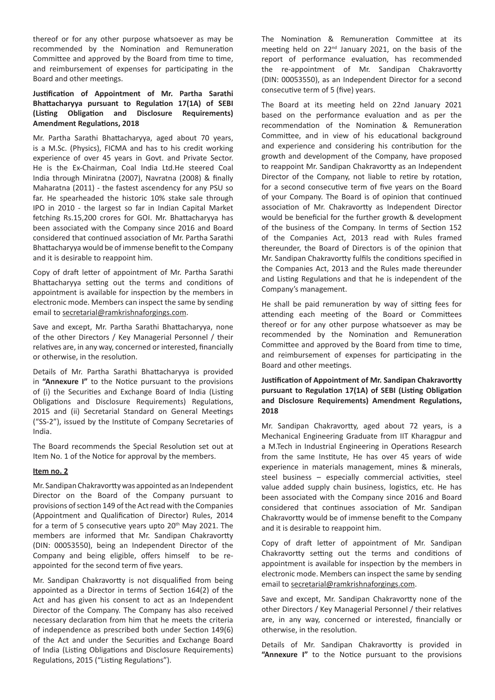thereof or for any other purpose whatsoever as may be recommended by the Nomination and Remuneration Committee and approved by the Board from time to time, and reimbursement of expenses for participating in the Board and other meetings.

### **Justification of Appointment of Mr. Partha Sarathi Bhattacharyya pursuant to Regulation 17(1A) of SEBI (Listing Obligation and Disclosure Requirements) Amendment Regulations, 2018**

Mr. Partha Sarathi Bhattacharyya, aged about 70 years, is a M.Sc. (Physics), FICMA and has to his credit working experience of over 45 years in Govt. and Private Sector. He is the Ex-Chairman, Coal India Ltd.He steered Coal India through Miniratna (2007), Navratna (2008) & finally Maharatna (2011) - the fastest ascendency for any PSU so far. He spearheaded the historic 10% stake sale through IPO in 2010 - the largest so far in Indian Capital Market fetching Rs.15,200 crores for GOI. Mr. Bhattacharyya has been associated with the Company since 2016 and Board considered that continued association of Mr. Partha Sarathi Bhattacharyya would be of immense benefit to the Company and it is desirable to reappoint him.

Copy of draft letter of appointment of Mr. Partha Sarathi Bhattacharyya setting out the terms and conditions of appointment is available for inspection by the members in electronic mode. Members can inspect the same by sending email to secretarial@ramkrishnaforgings.com.

Save and except, Mr. Partha Sarathi Bhattacharyya, none of the other Directors / Key Managerial Personnel / their relatives are, in any way, concerned or interested, financially or otherwise, in the resolution.

Details of Mr. Partha Sarathi Bhattacharyya is provided in **"Annexure I"** to the Notice pursuant to the provisions of (i) the Securities and Exchange Board of India (Listing Obligations and Disclosure Requirements) Regulations, 2015 and (ii) Secretarial Standard on General Meetings ("SS-2"), issued by the Institute of Company Secretaries of India.

The Board recommends the Special Resolution set out at Item No. 1 of the Notice for approval by the members.

#### **Item no. 2**

Mr. Sandipan Chakravorttywas appointed as an Independent Director on the Board of the Company pursuant to provisions of section 149 of the Act read with the Companies (Appointment and Qualification of Director) Rules, 2014 for a term of 5 consecutive years upto 20<sup>th</sup> May 2021. The members are informed that Mr. Sandipan Chakravortty (DIN: 00053550), being an Independent Director of the Company and being eligible, offers himself to be reappointed for the second term of five years.

Mr. Sandipan Chakravortty is not disqualified from being appointed as a Director in terms of Section 164(2) of the Act and has given his consent to act as an Independent Director of the Company. The Company has also received necessary declaration from him that he meets the criteria of independence as prescribed both under Section 149(6) of the Act and under the Securities and Exchange Board of India (Listing Obligations and Disclosure Requirements) Regulations, 2015 ("Listing Regulations").

The Nomination & Remuneration Committee at its meeting held on 22nd January 2021, on the basis of the report of performance evaluation, has recommended the re-appointment of Mr. Sandipan Chakravortty (DIN: 00053550), as an Independent Director for a second consecutive term of 5 (five) years.

The Board at its meeting held on 22nd January 2021 based on the performance evaluation and as per the recommendation of the Nomination & Remuneration Committee, and in view of his educational background and experience and considering his contribution for the growth and development of the Company, have proposed to reappoint Mr. Sandipan Chakravortty as an Independent Director of the Company, not liable to retire by rotation, for a second consecutive term of five years on the Board of your Company. The Board is of opinion that continued association of Mr. Chakravortty as Independent Director would be beneficial for the further growth & development of the business of the Company. In terms of Section 152 of the Companies Act, 2013 read with Rules framed thereunder, the Board of Directors is of the opinion that Mr. Sandipan Chakravortty fulfils the conditions specified in the Companies Act, 2013 and the Rules made thereunder and Listing Regulations and that he is independent of the Company's management.

He shall be paid remuneration by way of sitting fees for attending each meeting of the Board or Committees thereof or for any other purpose whatsoever as may be recommended by the Nomination and Remuneration Committee and approved by the Board from time to time, and reimbursement of expenses for participating in the Board and other meetings.

## **Justification of Appointment of Mr. Sandipan Chakravortty pursuant to Regulation 17(1A) of SEBI (Listing Obligation and Disclosure Requirements) Amendment Regulations, 2018**

Mr. Sandipan Chakravortty, aged about 72 years, is a Mechanical Engineering Graduate from IIT Kharagpur and a M.Tech in Industrial Engineering in Operations Research from the same Institute, He has over 45 years of wide experience in materials management, mines & minerals, steel business – especially commercial activities, steel value added supply chain business, logistics, etc. He has been associated with the Company since 2016 and Board considered that continues association of Mr. Sandipan Chakravortty would be of immense benefit to the Company and it is desirable to reappoint him.

Copy of draft letter of appointment of Mr. Sandipan Chakravortty setting out the terms and conditions of appointment is available for inspection by the members in electronic mode. Members can inspect the same by sending email to secretarial@ramkrishnaforgings.com.

Save and except, Mr. Sandipan Chakravortty none of the other Directors / Key Managerial Personnel / their relatives are, in any way, concerned or interested, financially or otherwise, in the resolution.

Details of Mr. Sandipan Chakravortty is provided in **"Annexure I"** to the Notice pursuant to the provisions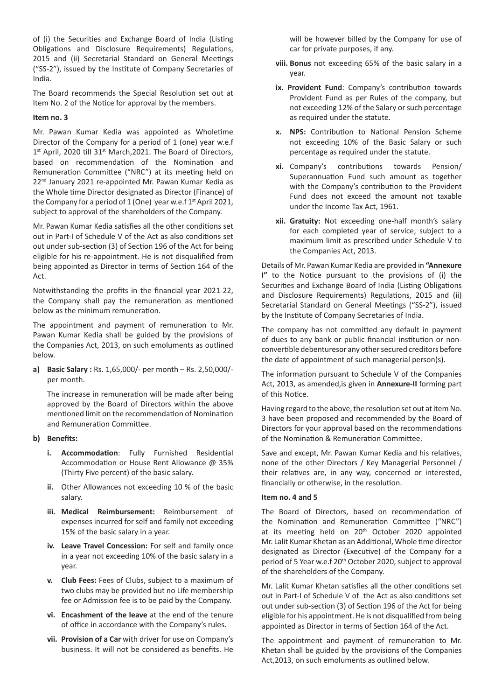of (i) the Securities and Exchange Board of India (Listing Obligations and Disclosure Requirements) Regulations, 2015 and (ii) Secretarial Standard on General Meetings ("SS-2"), issued by the Institute of Company Secretaries of India.

The Board recommends the Special Resolution set out at Item No. 2 of the Notice for approval by the members.

### **Item no. 3**

Mr. Pawan Kumar Kedia was appointed as Wholetime Director of the Company for a period of 1 (one) year w.e.f 1<sup>st</sup> April, 2020 till 31<sup>st</sup> March, 2021. The Board of Directors, based on recommendation of the Nomination and Remuneration Committee ("NRC") at its meeting held on 22<sup>nd</sup> January 2021 re-appointed Mr. Pawan Kumar Kedia as the Whole time Director designated as Director (Finance) of the Company for a period of 1 (One) year w.e.f  $1^{st}$  April 2021, subject to approval of the shareholders of the Company.

Mr. Pawan Kumar Kedia satisfies all the other conditions set out in Part-I of Schedule V of the Act as also conditions set out under sub-section (3) of Section 196 of the Act for being eligible for his re-appointment. He is not disqualified from being appointed as Director in terms of Section 164 of the Act.

Notwithstanding the profits in the financial year 2021-22, the Company shall pay the remuneration as mentioned below as the minimum remuneration.

The appointment and payment of remuneration to Mr. Pawan Kumar Kedia shall be guided by the provisions of the Companies Act, 2013, on such emoluments as outlined below.

**a) Basic Salary :** Rs. 1,65,000/- per month – Rs. 2,50,000/ per month.

The increase in remuneration will be made after being approved by the Board of Directors within the above mentioned limit on the recommendation of Nomination and Remuneration Committee.

#### **b) Benefits:**

- **i. Accommodation**: Fully Furnished Residential Accommodation or House Rent Allowance @ 35% (Thirty Five percent) of the basic salary.
- **ii.** Other Allowances not exceeding 10 % of the basic salary.
- **iii. Medical Reimbursement:** Reimbursement of expenses incurred for self and family not exceeding 15% of the basic salary in a year.
- **iv. Leave Travel Concession:** For self and family once in a year not exceeding 10% of the basic salary in a year.
- **v. Club Fees:** Fees of Clubs, subject to a maximum of two clubs may be provided but no Life membership fee or Admission fee is to be paid by the Company.
- **vi. Encashment of the leave** at the end of the tenure of office in accordance with the Company's rules.
- **vii. Provision of a Car** with driver for use on Company's business. It will not be considered as benefits. He

will be however billed by the Company for use of car for private purposes, if any.

- **viii. Bonus** not exceeding 65% of the basic salary in a year.
- **ix. Provident Fund**: Company's contribution towards Provident Fund as per Rules of the company, but not exceeding 12% of the Salary or such percentage as required under the statute.
- **x. NPS:** Contribution to National Pension Scheme not exceeding 10% of the Basic Salary or such percentage as required under the statute.
- **xi.** Company's contributions towards Pension/ Superannuation Fund such amount as together with the Company's contribution to the Provident Fund does not exceed the amount not taxable under the Income Tax Act, 1961.
- **xii. Gratuity:** Not exceeding one-half month's salary for each completed year of service, subject to a maximum limit as prescribed under Schedule V to the Companies Act, 2013.

Details of Mr. Pawan Kumar Kedia are provided in **"Annexure I"** to the Notice pursuant to the provisions of (i) the Securities and Exchange Board of India (Listing Obligations and Disclosure Requirements) Regulations, 2015 and (ii) Secretarial Standard on General Meetings ("SS-2"), issued by the Institute of Company Secretaries of India.

The company has not committed any default in payment of dues to any bank or public financial institution or nonconvertible debenturesor any other secured creditors before the date of appointment of such managerial person(s).

The information pursuant to Schedule V of the Companies Act, 2013, as amended,is given in **Annexure-II** forming part of this Notice.

Having regard to the above, the resolution set out at item No. 3 have been proposed and recommended by the Board of Directors for your approval based on the recommendations of the Nomination & Remuneration Committee.

Save and except, Mr. Pawan Kumar Kedia and his relatives, none of the other Directors / Key Managerial Personnel / their relatives are, in any way, concerned or interested, financially or otherwise, in the resolution.

### **Item no. 4 and 5**

The Board of Directors, based on recommendation of the Nomination and Remuneration Committee ("NRC") at its meeting held on 20<sup>th</sup> October 2020 appointed Mr. Lalit Kumar Khetan as an Additional, Whole time director designated as Director (Executive) of the Company for a period of 5 Year w.e.f 20<sup>th</sup> October 2020, subject to approval of the shareholders of the Company.

Mr. Lalit Kumar Khetan satisfies all the other conditions set out in Part-I of Schedule V of the Act as also conditions set out under sub-section (3) of Section 196 of the Act for being eligible for his appointment. He is not disqualified from being appointed as Director in terms of Section 164 of the Act.

The appointment and payment of remuneration to Mr. Khetan shall be guided by the provisions of the Companies Act,2013, on such emoluments as outlined below.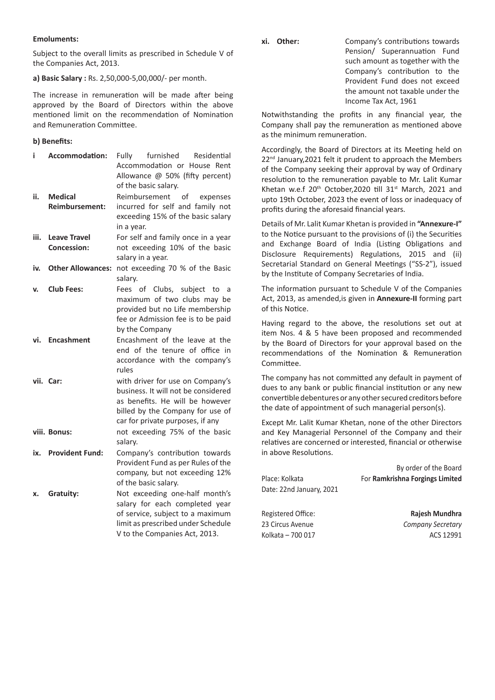#### **Emoluments:**

Subject to the overall limits as prescribed in Schedule V of the Companies Act, 2013.

#### **a) Basic Salary :** Rs. 2,50,000-5,00,000/- per month.

The increase in remuneration will be made after being approved by the Board of Directors within the above mentioned limit on the recommendation of Nomination and Remuneration Committee.

#### **b) Benefits:**

| i    | Accommodation:           | furnished<br>Fully<br>Residential   |
|------|--------------------------|-------------------------------------|
|      |                          | Accommodation or House Rent         |
|      |                          | Allowance @ 50% (fifty percent)     |
|      |                          | of the basic salary.                |
| ii.  | <b>Medical</b>           | Reimbursement<br>of<br>expenses     |
|      | <b>Reimbursement:</b>    | incurred for self and family not    |
|      |                          | exceeding 15% of the basic salary   |
|      |                          | in a year.                          |
| iii. | <b>Leave Travel</b>      | For self and family once in a year  |
|      | <b>Concession:</b>       | not exceeding 10% of the basic      |
|      |                          | salary in a year.                   |
| iv.  | <b>Other Allowances:</b> | not exceeding 70 % of the Basic     |
|      |                          | salary.                             |
| v.   | <b>Club Fees:</b>        | of Clubs, subject to<br>Fees<br>- a |
|      |                          | maximum of two clubs may be         |
|      |                          | provided but no Life membership     |
|      |                          | fee or Admission fee is to be paid  |
|      |                          | by the Company                      |
| vi.  | <b>Encashment</b>        | Encashment of the leave at the      |
|      |                          | end of the tenure of office in      |
|      |                          | accordance with the company's       |
|      |                          | rules                               |
|      | vii. Car:                | with driver for use on Company's    |
|      |                          | business. It will not be considered |
|      |                          | as benefits. He will be however     |
|      |                          | billed by the Company for use of    |
|      |                          | car for private purposes, if any    |
|      | viii. Bonus:             | not exceeding 75% of the basic      |
|      |                          | salary.                             |
|      | ix. Provident Fund:      | Company's contribution towards      |
|      |                          | Provident Fund as per Rules of the  |
|      |                          | company, but not exceeding 12%      |
|      |                          | of the basic salary.                |
| х.   | Gratuity:                | Not exceeding one-half month's      |
|      |                          | salary for each completed year      |
|      |                          | of service, subject to a maximum    |
|      |                          | limit as prescribed under Schedule  |
|      |                          | V to the Companies Act, 2013.       |
|      |                          |                                     |

**xi. Other:** Company's contributions towards Pension/ Superannuation Fund such amount as together with the Company's contribution to the Provident Fund does not exceed the amount not taxable under the Income Tax Act, 1961

Notwithstanding the profits in any financial year, the Company shall pay the remuneration as mentioned above as the minimum remuneration.

Accordingly, the Board of Directors at its Meeting held on 22<sup>nd</sup> January, 2021 felt it prudent to approach the Members of the Company seeking their approval by way of Ordinary resolution to the remuneration payable to Mr. Lalit Kumar Khetan w.e.f 20<sup>th</sup> October, 2020 till 31<sup>st</sup> March, 2021 and upto 19th October, 2023 the event of loss or inadequacy of profits during the aforesaid financial years.

Details of Mr. Lalit Kumar Khetan is provided in **"Annexure-I"** to the Notice pursuant to the provisions of (i) the Securities and Exchange Board of India (Listing Obligations and Disclosure Requirements) Regulations, 2015 and (ii) Secretarial Standard on General Meetings ("SS-2"), issued by the Institute of Company Secretaries of India.

The information pursuant to Schedule V of the Companies Act, 2013, as amended,is given in **Annexure-II** forming part of this Notice.

Having regard to the above, the resolutions set out at item Nos. 4 & 5 have been proposed and recommended by the Board of Directors for your approval based on the recommendations of the Nomination & Remuneration Committee.

The company has not committed any default in payment of dues to any bank or public financial institution or any new convertible debentures or any other secured creditors before the date of appointment of such managerial person(s).

Except Mr. Lalit Kumar Khetan, none of the other Directors and Key Managerial Personnel of the Company and their relatives are concerned or interested, financial or otherwise in above Resolutions.

|                          | By order of the Board           |
|--------------------------|---------------------------------|
| Place: Kolkata           | For Ramkrishna Forgings Limited |
| Date: 22nd January, 2021 |                                 |
|                          |                                 |
| Registered Office:       | Rajesh Mundhra                  |

23 Circus Avenue *Company Secretary* Kolkata – 700 017 ACS 12991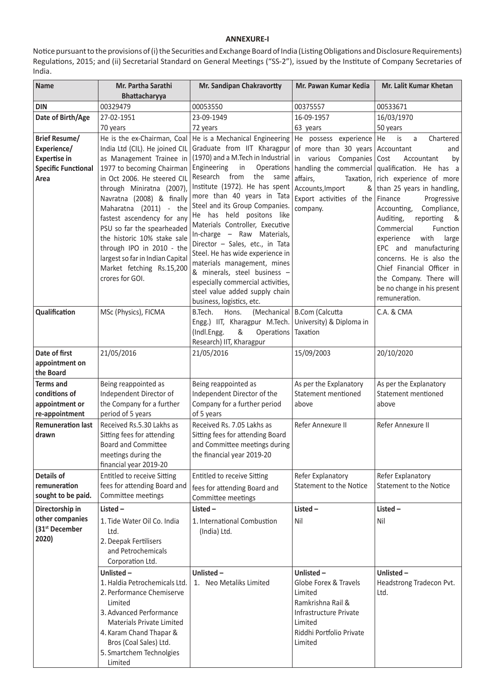## **ANNEXURE-I**

Notice pursuant to the provisions of (i) the Securities and Exchange Board of India (Listing Obligations and Disclosure Requirements) Regulations, 2015; and (ii) Secretarial Standard on General Meetings ("SS-2"), issued by the Institute of Company Secretaries of India.

| <b>Name</b>                                                                                                                                                                                                                                                                                                                                                                                                                                                                                                                                                           | Mr. Sandipan Chakravortty<br>Mr. Partha Sarathi                                                                                                                                                                                                  |                                                                                                                                                                                                                                                                                                                                                                                                                                                                                                                                                                                                                                                                                                                                                              | Mr. Pawan Kumar Kedia                                                                                                                          | Mr. Lalit Kumar Khetan                                                                                                                                                                                                                                                                                                                                                                                                                                        |
|-----------------------------------------------------------------------------------------------------------------------------------------------------------------------------------------------------------------------------------------------------------------------------------------------------------------------------------------------------------------------------------------------------------------------------------------------------------------------------------------------------------------------------------------------------------------------|--------------------------------------------------------------------------------------------------------------------------------------------------------------------------------------------------------------------------------------------------|--------------------------------------------------------------------------------------------------------------------------------------------------------------------------------------------------------------------------------------------------------------------------------------------------------------------------------------------------------------------------------------------------------------------------------------------------------------------------------------------------------------------------------------------------------------------------------------------------------------------------------------------------------------------------------------------------------------------------------------------------------------|------------------------------------------------------------------------------------------------------------------------------------------------|---------------------------------------------------------------------------------------------------------------------------------------------------------------------------------------------------------------------------------------------------------------------------------------------------------------------------------------------------------------------------------------------------------------------------------------------------------------|
| <b>DIN</b>                                                                                                                                                                                                                                                                                                                                                                                                                                                                                                                                                            | Bhattacharyya<br>00329479                                                                                                                                                                                                                        | 00053550                                                                                                                                                                                                                                                                                                                                                                                                                                                                                                                                                                                                                                                                                                                                                     | 00375557                                                                                                                                       | 00533671                                                                                                                                                                                                                                                                                                                                                                                                                                                      |
| Date of Birth/Age<br>27-02-1951                                                                                                                                                                                                                                                                                                                                                                                                                                                                                                                                       |                                                                                                                                                                                                                                                  | 23-09-1949                                                                                                                                                                                                                                                                                                                                                                                                                                                                                                                                                                                                                                                                                                                                                   | 16-09-1957                                                                                                                                     | 16/03/1970                                                                                                                                                                                                                                                                                                                                                                                                                                                    |
|                                                                                                                                                                                                                                                                                                                                                                                                                                                                                                                                                                       |                                                                                                                                                                                                                                                  | 72 years                                                                                                                                                                                                                                                                                                                                                                                                                                                                                                                                                                                                                                                                                                                                                     | 63 years                                                                                                                                       | 50 years                                                                                                                                                                                                                                                                                                                                                                                                                                                      |
| 70 years<br>He is the ex-Chairman, Coal<br><b>Brief Resume/</b><br>India Ltd (CIL). He joined CIL<br>Experience/<br><b>Expertise in</b><br>as Management Trainee in<br>1977 to becoming Chairman<br><b>Specific Functional</b><br>in Oct 2006. He steered CIL<br>Area<br>through Miniratna (2007),<br>Navratna (2008) & finally<br>Maharatna (2011) - the<br>fastest ascendency for any<br>PSU so far the spearheaded<br>the historic 10% stake sale<br>through IPO in 2010 - the<br>largest so far in Indian Capital<br>Market fetching Rs.15,200<br>crores for GOI. |                                                                                                                                                                                                                                                  | He is a Mechanical Engineering<br>He possess experience He<br>Graduate from IIT Kharagpur<br>of more than 30 years Accountant<br>(1970) and a M.Tech in Industrial<br>in various Companies Cost<br>Engineering<br>in<br>Operations<br>Research from<br>the same<br>affairs,<br>Institute (1972). He has spent<br>Accounts, Import<br>more than 40 years in Tata<br>Export activities of the Finance<br>Steel and its Group Companies.<br>company.<br>He has held positons like<br>Materials Controller, Executive<br>In-charge - Raw Materials,<br>Director - Sales, etc., in Tata<br>Steel. He has wide experience in<br>materials management, mines<br>& minerals, steel business -<br>especially commercial activities,<br>steel value added supply chain |                                                                                                                                                | is<br>Chartered<br>a<br>and<br>Accountant<br>by<br>handling the commercial qualification. He has a<br>Taxation, $ $ rich experience of more<br>& than 25 years in handling,<br>Progressive<br>Compliance,<br>Accounting,<br>Auditing,<br>reporting<br>&<br>Commercial<br>Function<br>with<br>large<br>experience<br>EPC and manufacturing<br>concerns. He is also the<br>Chief Financial Officer in<br>the Company. There will<br>be no change in his present |
| Qualification<br>MSc (Physics), FICMA                                                                                                                                                                                                                                                                                                                                                                                                                                                                                                                                 |                                                                                                                                                                                                                                                  | business, logistics, etc.<br>B.Tech.<br>Hons.<br>Engg.) IIT, Kharagpur M.Tech.<br>(Indl.Engg.<br>&<br>Operations<br>Research) IIT, Kharagpur                                                                                                                                                                                                                                                                                                                                                                                                                                                                                                                                                                                                                 | (Mechanical   B.Com (Calcutta<br>University) & Diploma in<br>Taxation                                                                          | remuneration.<br>C.A. & CMA                                                                                                                                                                                                                                                                                                                                                                                                                                   |
| Date of first                                                                                                                                                                                                                                                                                                                                                                                                                                                                                                                                                         | 21/05/2016                                                                                                                                                                                                                                       | 21/05/2016                                                                                                                                                                                                                                                                                                                                                                                                                                                                                                                                                                                                                                                                                                                                                   | 15/09/2003                                                                                                                                     | 20/10/2020                                                                                                                                                                                                                                                                                                                                                                                                                                                    |
| appointment on<br>the Board                                                                                                                                                                                                                                                                                                                                                                                                                                                                                                                                           |                                                                                                                                                                                                                                                  |                                                                                                                                                                                                                                                                                                                                                                                                                                                                                                                                                                                                                                                                                                                                                              |                                                                                                                                                |                                                                                                                                                                                                                                                                                                                                                                                                                                                               |
| <b>Terms and</b><br>conditions of<br>appointment or<br>re-appointment                                                                                                                                                                                                                                                                                                                                                                                                                                                                                                 | Being reappointed as<br>Independent Director of<br>the Company for a further<br>period of 5 years                                                                                                                                                | Being reappointed as<br>Independent Director of the<br>Company for a further period<br>of 5 years                                                                                                                                                                                                                                                                                                                                                                                                                                                                                                                                                                                                                                                            | As per the Explanatory<br>Statement mentioned<br>above                                                                                         | As per the Explanatory<br>Statement mentioned<br>above                                                                                                                                                                                                                                                                                                                                                                                                        |
| <b>Remuneration last</b><br>drawn                                                                                                                                                                                                                                                                                                                                                                                                                                                                                                                                     | Received Rs.5.30 Lakhs as<br>Sitting fees for attending<br><b>Board and Committee</b><br>meetings during the<br>financial year 2019-20                                                                                                           | Received Rs. 7.05 Lakhs as<br>Sitting fees for attending Board<br>and Committee meetings during<br>the financial year 2019-20                                                                                                                                                                                                                                                                                                                                                                                                                                                                                                                                                                                                                                | Refer Annexure II                                                                                                                              | Refer Annexure II                                                                                                                                                                                                                                                                                                                                                                                                                                             |
| Details of<br>remuneration<br>sought to be paid.                                                                                                                                                                                                                                                                                                                                                                                                                                                                                                                      | <b>Entitled to receive Sitting</b><br>fees for attending Board and<br>Committee meetings                                                                                                                                                         | <b>Entitled to receive Sitting</b><br>fees for attending Board and<br>Committee meetings                                                                                                                                                                                                                                                                                                                                                                                                                                                                                                                                                                                                                                                                     | Refer Explanatory<br>Statement to the Notice                                                                                                   | Refer Explanatory<br><b>Statement to the Notice</b>                                                                                                                                                                                                                                                                                                                                                                                                           |
| Directorship in                                                                                                                                                                                                                                                                                                                                                                                                                                                                                                                                                       | Listed-                                                                                                                                                                                                                                          | Listed-                                                                                                                                                                                                                                                                                                                                                                                                                                                                                                                                                                                                                                                                                                                                                      | Listed-                                                                                                                                        | Listed-                                                                                                                                                                                                                                                                                                                                                                                                                                                       |
| other companies<br>(31 <sup>st</sup> December<br>2020)                                                                                                                                                                                                                                                                                                                                                                                                                                                                                                                | 1. Tide Water Oil Co. India<br>Ltd.<br>2. Deepak Fertilisers<br>and Petrochemicals<br>Corporation Ltd.                                                                                                                                           | 1. International Combustion<br>(India) Ltd.                                                                                                                                                                                                                                                                                                                                                                                                                                                                                                                                                                                                                                                                                                                  | Nil                                                                                                                                            | Nil                                                                                                                                                                                                                                                                                                                                                                                                                                                           |
|                                                                                                                                                                                                                                                                                                                                                                                                                                                                                                                                                                       | Unlisted $-$<br>1. Haldia Petrochemicals Ltd.<br>2. Performance Chemiserve<br>Limited<br>3. Advanced Performance<br><b>Materials Private Limited</b><br>4. Karam Chand Thapar &<br>Bros (Coal Sales) Ltd.<br>5. Smartchem Technolgies<br>Limited | Unlisted-<br>1. Neo Metaliks Limited                                                                                                                                                                                                                                                                                                                                                                                                                                                                                                                                                                                                                                                                                                                         | Unlisted-<br>Globe Forex & Travels<br>Limited<br>Ramkrishna Rail &<br>Infrastructure Private<br>Limited<br>Riddhi Portfolio Private<br>Limited | Unlisted-<br>Headstrong Tradecon Pvt.<br>Ltd.                                                                                                                                                                                                                                                                                                                                                                                                                 |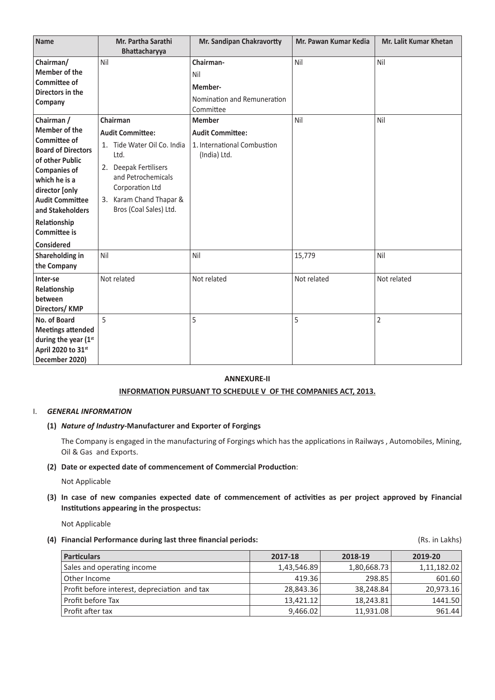| <b>Name</b>                            | Mr. Partha Sarathi          | Mr. Sandipan Chakravortty   | Mr. Pawan Kumar Kedia | <b>Mr. Lalit Kumar Khetan</b> |
|----------------------------------------|-----------------------------|-----------------------------|-----------------------|-------------------------------|
|                                        | Bhattacharyya               |                             |                       |                               |
| Chairman/                              | Nil                         | Chairman-                   | Nil                   | Nil                           |
| Member of the                          |                             | Nil                         |                       |                               |
| Committee of                           |                             | Member-                     |                       |                               |
| Directors in the                       |                             | Nomination and Remuneration |                       |                               |
| Company                                |                             | Committee                   |                       |                               |
| Chairman /                             | Chairman                    | <b>Member</b>               | Nil                   | Nil                           |
| <b>Member of the</b>                   | <b>Audit Committee:</b>     | <b>Audit Committee:</b>     |                       |                               |
| Committee of                           | 1. Tide Water Oil Co. India | 1. International Combustion |                       |                               |
| <b>Board of Directors</b>              | Ltd.                        | (India) Ltd.                |                       |                               |
| of other Public<br><b>Companies of</b> | 2. Deepak Fertilisers       |                             |                       |                               |
| which he is a                          | and Petrochemicals          |                             |                       |                               |
| director [only                         | Corporation Ltd             |                             |                       |                               |
| <b>Audit Committee</b>                 | 3. Karam Chand Thapar &     |                             |                       |                               |
| and Stakeholders                       | Bros (Coal Sales) Ltd.      |                             |                       |                               |
| Relationship                           |                             |                             |                       |                               |
| <b>Committee is</b>                    |                             |                             |                       |                               |
| <b>Considered</b>                      |                             |                             |                       |                               |
| Shareholding in                        | Nil                         | Nil                         | 15,779                | Nil                           |
| the Company                            |                             |                             |                       |                               |
| Inter-se                               | Not related                 | Not related                 | Not related           | Not related                   |
| Relationship                           |                             |                             |                       |                               |
| between                                |                             |                             |                       |                               |
| Directors/KMP                          |                             |                             |                       |                               |
| No. of Board                           | 5                           | 5                           | 5                     | $\overline{2}$                |
| <b>Meetings attended</b>               |                             |                             |                       |                               |
| during the year (1st                   |                             |                             |                       |                               |
| April 2020 to 31st                     |                             |                             |                       |                               |
| December 2020)                         |                             |                             |                       |                               |

## **ANNEXURE-II**

### **INFORMATION PURSUANT TO SCHEDULE V OF THE COMPANIES ACT, 2013.**

#### I. *GENERAL INFORMATION*

### **(1)** *Nature of Industry-***Manufacturer and Exporter of Forgings**

The Company is engaged in the manufacturing of Forgings which has the applications in Railways , Automobiles, Mining, Oil & Gas and Exports.

#### **(2) Date or expected date of commencement of Commercial Production**:

Not Applicable

**(3) In case of new companies expected date of commencement of activities as per project approved by Financial Institutions appearing in the prospectus:**

Not Applicable

# **(4) Financial Performance during last three financial periods:** (Rs. in Lakhs)

| <b>Particulars</b>                           | 2017-18     | 2018-19     | 2019-20     |
|----------------------------------------------|-------------|-------------|-------------|
| Sales and operating income                   | 1,43,546.89 | 1,80,668.73 | 1,11,182.02 |
| Other Income                                 | 419.36      | 298.85      | 601.60      |
| Profit before interest, depreciation and tax | 28,843.36   | 38,248.84   | 20,973.16   |
| Profit before Tax                            | 13,421.12   | 18,243.81   | 1441.50     |
| Profit after tax                             | 9,466.02    | 11,931.08   | 961.44      |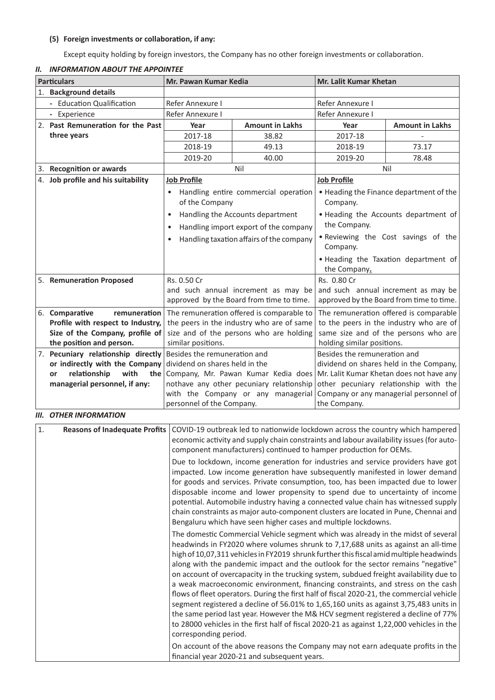# **(5) Foreign investments or collaboration, if any:**

Except equity holding by foreign investors, the Company has no other foreign investments or collaboration.

| <b>Particulars</b>    |                                                                | Mr. Pawan Kumar Kedia                                                                                                                                                                                                                                |                                                                                                                                                                                                                                                                                                                                                                                                                                                                                                                                                                                                                                                                                                                                                                                                                       | Mr. Lalit Kumar Khetan |                                          |  |
|-----------------------|----------------------------------------------------------------|------------------------------------------------------------------------------------------------------------------------------------------------------------------------------------------------------------------------------------------------------|-----------------------------------------------------------------------------------------------------------------------------------------------------------------------------------------------------------------------------------------------------------------------------------------------------------------------------------------------------------------------------------------------------------------------------------------------------------------------------------------------------------------------------------------------------------------------------------------------------------------------------------------------------------------------------------------------------------------------------------------------------------------------------------------------------------------------|------------------------|------------------------------------------|--|
| 1. Background details |                                                                |                                                                                                                                                                                                                                                      |                                                                                                                                                                                                                                                                                                                                                                                                                                                                                                                                                                                                                                                                                                                                                                                                                       |                        |                                          |  |
|                       | - Education Qualification                                      | Refer Annexure I                                                                                                                                                                                                                                     |                                                                                                                                                                                                                                                                                                                                                                                                                                                                                                                                                                                                                                                                                                                                                                                                                       | Refer Annexure I       |                                          |  |
|                       | - Experience                                                   | Refer Annexure I                                                                                                                                                                                                                                     |                                                                                                                                                                                                                                                                                                                                                                                                                                                                                                                                                                                                                                                                                                                                                                                                                       | Refer Annexure I       |                                          |  |
|                       | 2. Past Remuneration for the Past                              | Year                                                                                                                                                                                                                                                 | <b>Amount in Lakhs</b>                                                                                                                                                                                                                                                                                                                                                                                                                                                                                                                                                                                                                                                                                                                                                                                                | Year                   | <b>Amount in Lakhs</b>                   |  |
|                       | three years                                                    | 2017-18                                                                                                                                                                                                                                              | 38.82                                                                                                                                                                                                                                                                                                                                                                                                                                                                                                                                                                                                                                                                                                                                                                                                                 | 2017-18                |                                          |  |
|                       |                                                                | 2018-19                                                                                                                                                                                                                                              | 49.13                                                                                                                                                                                                                                                                                                                                                                                                                                                                                                                                                                                                                                                                                                                                                                                                                 | 2018-19                | 73.17                                    |  |
|                       |                                                                | 2019-20                                                                                                                                                                                                                                              | 40.00                                                                                                                                                                                                                                                                                                                                                                                                                                                                                                                                                                                                                                                                                                                                                                                                                 | 2019-20                | 78.48                                    |  |
|                       | 3. Recognition or awards                                       |                                                                                                                                                                                                                                                      | Nil                                                                                                                                                                                                                                                                                                                                                                                                                                                                                                                                                                                                                                                                                                                                                                                                                   |                        | Nil                                      |  |
|                       | 4. Job profile and his suitability                             | <b>Job Profile</b>                                                                                                                                                                                                                                   |                                                                                                                                                                                                                                                                                                                                                                                                                                                                                                                                                                                                                                                                                                                                                                                                                       | <b>Job Profile</b>     |                                          |  |
|                       |                                                                | of the Company                                                                                                                                                                                                                                       | Handling entire commercial operation                                                                                                                                                                                                                                                                                                                                                                                                                                                                                                                                                                                                                                                                                                                                                                                  | Company.               | • Heading the Finance department of the  |  |
|                       |                                                                | $\bullet$                                                                                                                                                                                                                                            | Handling the Accounts department                                                                                                                                                                                                                                                                                                                                                                                                                                                                                                                                                                                                                                                                                                                                                                                      |                        | . Heading the Accounts department of     |  |
|                       |                                                                |                                                                                                                                                                                                                                                      | Handling import export of the company                                                                                                                                                                                                                                                                                                                                                                                                                                                                                                                                                                                                                                                                                                                                                                                 | the Company.           |                                          |  |
|                       |                                                                |                                                                                                                                                                                                                                                      | Handling taxation affairs of the company                                                                                                                                                                                                                                                                                                                                                                                                                                                                                                                                                                                                                                                                                                                                                                              | Company.               | . Reviewing the Cost savings of the      |  |
|                       |                                                                |                                                                                                                                                                                                                                                      |                                                                                                                                                                                                                                                                                                                                                                                                                                                                                                                                                                                                                                                                                                                                                                                                                       |                        | . Heading the Taxation department of     |  |
|                       |                                                                |                                                                                                                                                                                                                                                      |                                                                                                                                                                                                                                                                                                                                                                                                                                                                                                                                                                                                                                                                                                                                                                                                                       | the Company.           |                                          |  |
|                       | 5. Remuneration Proposed                                       | Rs. 0.50 Cr                                                                                                                                                                                                                                          |                                                                                                                                                                                                                                                                                                                                                                                                                                                                                                                                                                                                                                                                                                                                                                                                                       | Rs. 0.80 Cr            |                                          |  |
|                       |                                                                |                                                                                                                                                                                                                                                      | and such annual increment as may be                                                                                                                                                                                                                                                                                                                                                                                                                                                                                                                                                                                                                                                                                                                                                                                   |                        | and such annual increment as may be      |  |
|                       |                                                                |                                                                                                                                                                                                                                                      | approved by the Board from time to time.                                                                                                                                                                                                                                                                                                                                                                                                                                                                                                                                                                                                                                                                                                                                                                              |                        | approved by the Board from time to time. |  |
|                       | 6. Comparative<br>remuneration                                 |                                                                                                                                                                                                                                                      | The remuneration offered is comparable to                                                                                                                                                                                                                                                                                                                                                                                                                                                                                                                                                                                                                                                                                                                                                                             |                        | The remuneration offered is comparable   |  |
|                       | Profile with respect to Industry,                              |                                                                                                                                                                                                                                                      | the peers in the industry who are of same                                                                                                                                                                                                                                                                                                                                                                                                                                                                                                                                                                                                                                                                                                                                                                             |                        | to the peers in the industry who are of  |  |
|                       | Size of the Company, profile of                                |                                                                                                                                                                                                                                                      | size and of the persons who are holding                                                                                                                                                                                                                                                                                                                                                                                                                                                                                                                                                                                                                                                                                                                                                                               |                        | same size and of the persons who are     |  |
|                       | the position and person.<br>7. Pecuniary relationship directly | similar positions.<br>holding similar positions.                                                                                                                                                                                                     |                                                                                                                                                                                                                                                                                                                                                                                                                                                                                                                                                                                                                                                                                                                                                                                                                       |                        |                                          |  |
|                       | or indirectly with the Company                                 | Besides the remuneration and<br>Besides the remuneration and<br>dividend on shares held in the<br>dividend on shares held in the Company,                                                                                                            |                                                                                                                                                                                                                                                                                                                                                                                                                                                                                                                                                                                                                                                                                                                                                                                                                       |                        |                                          |  |
|                       | relationship<br>with<br>or<br>the                              | Company, Mr. Pawan Kumar Kedia does<br>Mr. Lalit Kumar Khetan does not have any                                                                                                                                                                      |                                                                                                                                                                                                                                                                                                                                                                                                                                                                                                                                                                                                                                                                                                                                                                                                                       |                        |                                          |  |
|                       | managerial personnel, if any:                                  |                                                                                                                                                                                                                                                      | nothave any other pecuniary relationship                                                                                                                                                                                                                                                                                                                                                                                                                                                                                                                                                                                                                                                                                                                                                                              |                        | other pecuniary relationship with the    |  |
|                       |                                                                |                                                                                                                                                                                                                                                      | with the Company or any managerial                                                                                                                                                                                                                                                                                                                                                                                                                                                                                                                                                                                                                                                                                                                                                                                    |                        | Company or any managerial personnel of   |  |
|                       |                                                                | personnel of the Company.                                                                                                                                                                                                                            |                                                                                                                                                                                                                                                                                                                                                                                                                                                                                                                                                                                                                                                                                                                                                                                                                       | the Company.           |                                          |  |
|                       | <b>III. OTHER INFORMATION</b>                                  |                                                                                                                                                                                                                                                      |                                                                                                                                                                                                                                                                                                                                                                                                                                                                                                                                                                                                                                                                                                                                                                                                                       |                        |                                          |  |
| 1.                    | <b>Reasons of Inadequate Profits</b>                           |                                                                                                                                                                                                                                                      | COVID-19 outbreak led to nationwide lockdown across the country which hampered                                                                                                                                                                                                                                                                                                                                                                                                                                                                                                                                                                                                                                                                                                                                        |                        |                                          |  |
|                       |                                                                |                                                                                                                                                                                                                                                      | economic activity and supply chain constraints and labour availability issues (for auto-                                                                                                                                                                                                                                                                                                                                                                                                                                                                                                                                                                                                                                                                                                                              |                        |                                          |  |
|                       |                                                                |                                                                                                                                                                                                                                                      | component manufacturers) continued to hamper production for OEMs.                                                                                                                                                                                                                                                                                                                                                                                                                                                                                                                                                                                                                                                                                                                                                     |                        |                                          |  |
|                       |                                                                | Due to lockdown, income generation for industries and service providers have got<br>impacted. Low income generation have subsequently manifested in lower demand<br>for goods and services. Private consumption, too, has been impacted due to lower |                                                                                                                                                                                                                                                                                                                                                                                                                                                                                                                                                                                                                                                                                                                                                                                                                       |                        |                                          |  |
|                       |                                                                |                                                                                                                                                                                                                                                      | disposable income and lower propensity to spend due to uncertainty of income<br>potential. Automobile industry having a connected value chain has witnessed supply<br>chain constraints as major auto-component clusters are located in Pune, Chennai and                                                                                                                                                                                                                                                                                                                                                                                                                                                                                                                                                             |                        |                                          |  |
|                       |                                                                |                                                                                                                                                                                                                                                      | Bengaluru which have seen higher cases and multiple lockdowns.<br>The domestic Commercial Vehicle segment which was already in the midst of several                                                                                                                                                                                                                                                                                                                                                                                                                                                                                                                                                                                                                                                                   |                        |                                          |  |
|                       |                                                                |                                                                                                                                                                                                                                                      | headwinds in FY2020 where volumes shrunk to 7,17,688 units as against an all-time<br>high of 10,07,311 vehicles in FY2019 shrunk further this fiscal amid multiple headwinds<br>along with the pandemic impact and the outlook for the sector remains "negative"<br>on account of overcapacity in the trucking system, subdued freight availability due to<br>a weak macroeconomic environment, financing constraints, and stress on the cash<br>flows of fleet operators. During the first half of fiscal 2020-21, the commercial vehicle<br>segment registered a decline of 56.01% to 1,65,160 units as against 3,75,483 units in<br>the same period last year. However the M& HCV segment registered a decline of 77%<br>to 28000 vehicles in the first half of fiscal 2020-21 as against 1,22,000 vehicles in the |                        |                                          |  |
|                       |                                                                | corresponding period.                                                                                                                                                                                                                                |                                                                                                                                                                                                                                                                                                                                                                                                                                                                                                                                                                                                                                                                                                                                                                                                                       |                        |                                          |  |

*II. INFORMATION ABOUT THE APPOINTEE* 

On account of the above reasons the Company may not earn adequate profits in the financial year 2020-21 and subsequent years.